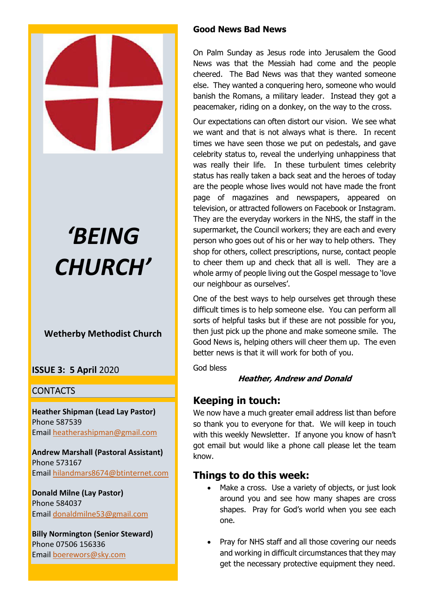

# *'BEING CHURCH'*

# **Wetherby Methodist Church**

## **ISSUE 3: 5 April** 2020

## **CONTACTS**

**Heather Shipman (Lead Lay Pastor)** Phone 587539 Email heatherashipman@gmail.com

**Andrew Marshall (Pastoral Assistant)** Phone 573167 Email hilandmars8674@btinternet.com

**Donald Milne (Lay Pastor)** Phone 584037 Email donaldmilne53@gmail.com

**Billy Normington (Senior Steward)** Phone 07506 156336 Email boerewors@sky.com

## **Good News Bad News**

On Palm Sunday as Jesus rode into Jerusalem the Good News was that the Messiah had come and the people cheered. The Bad News was that they wanted someone else. They wanted a conquering hero, someone who would banish the Romans, a military leader. Instead they got a peacemaker, riding on a donkey, on the way to the cross.

Our expectations can often distort our vision. We see what we want and that is not always what is there. In recent times we have seen those we put on pedestals, and gave celebrity status to, reveal the underlying unhappiness that was really their life. In these turbulent times celebrity status has really taken a back seat and the heroes of today are the people whose lives would not have made the front page of magazines and newspapers, appeared on television, or attracted followers on Facebook or Instagram. They are the everyday workers in the NHS, the staff in the supermarket, the Council workers; they are each and every person who goes out of his or her way to help others. They shop for others, collect prescriptions, nurse, contact people to cheer them up and check that all is well. They are a whole army of people living out the Gospel message to 'love our neighbour as ourselves'.

One of the best ways to help ourselves get through these difficult times is to help someone else. You can perform all sorts of helpful tasks but if these are not possible for you, then just pick up the phone and make someone smile. The Good News is, helping others will cheer them up. The even better news is that it will work for both of you.

God bless

## **Heather, Andrew and Donald**

# **Keeping in touch:**

We now have a much greater email address list than before so thank you to everyone for that. We will keep in touch with this weekly Newsletter. If anyone you know of hasn't got email but would like a phone call please let the team know.

# **Things to do this week:**

- Make a cross. Use a variety of objects, or just look around you and see how many shapes are cross shapes. Pray for God's world when you see each one.
- Pray for NHS staff and all those covering our needs and working in difficult circumstances that they may get the necessary protective equipment they need.